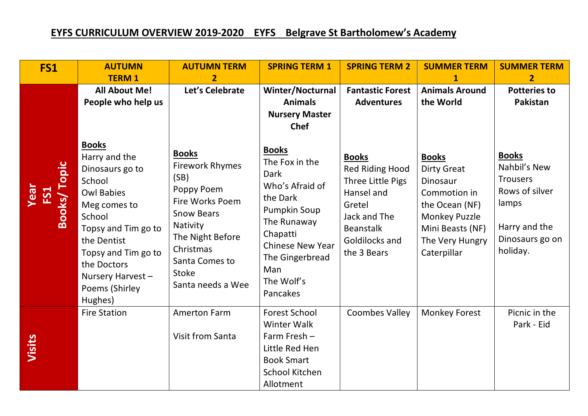## **EYFS CURRICULUM OVERVIEW 2019-2020 EYFS Belgrave St Bartholomew's Academy**

| FS1                                      | <b>AUTUMN</b><br><b>TERM1</b>                                                                                                                                                                                                          | <b>AUTUMN TERM</b><br>$\overline{2}$                                                                                                                                                              | <b>SPRING TERM 1</b>                                                                                                                                                                                          | <b>SPRING TERM 2</b>                                                                                                                              | <b>SUMMER TERM</b>                                                                                                                                             | <b>SUMMER TERM</b><br>$\overline{2}$                                                                                       |
|------------------------------------------|----------------------------------------------------------------------------------------------------------------------------------------------------------------------------------------------------------------------------------------|---------------------------------------------------------------------------------------------------------------------------------------------------------------------------------------------------|---------------------------------------------------------------------------------------------------------------------------------------------------------------------------------------------------------------|---------------------------------------------------------------------------------------------------------------------------------------------------|----------------------------------------------------------------------------------------------------------------------------------------------------------------|----------------------------------------------------------------------------------------------------------------------------|
|                                          | <b>All About Me!</b><br>People who help us                                                                                                                                                                                             | Let's Celebrate                                                                                                                                                                                   | Winter/Nocturnal<br><b>Animals</b><br><b>Nursery Master</b><br><b>Chef</b>                                                                                                                                    | <b>Fantastic Forest</b><br><b>Adventures</b>                                                                                                      | <b>Animals Around</b><br>the World                                                                                                                             | <b>Potteries to</b><br>Pakistan                                                                                            |
| <b>Books/Topic</b><br><b>Year</b><br>FS1 | <b>Books</b><br>Harry and the<br>Dinosaurs go to<br>School<br><b>Owl Babies</b><br>Meg comes to<br>School<br>Topsy and Tim go to<br>the Dentist<br>Topsy and Tim go to<br>the Doctors<br>Nursery Harvest-<br>Poems (Shirley<br>Hughes) | <b>Books</b><br><b>Firework Rhymes</b><br>(SB)<br>Poppy Poem<br>Fire Works Poem<br><b>Snow Bears</b><br>Nativity<br>The Night Before<br>Christmas<br>Santa Comes to<br>Stoke<br>Santa needs a Wee | <b>Books</b><br>The Fox in the<br><b>Dark</b><br>Who's Afraid of<br>the Dark<br><b>Pumpkin Soup</b><br>The Runaway<br>Chapatti<br><b>Chinese New Year</b><br>The Gingerbread<br>Man<br>The Wolf's<br>Pancakes | <b>Books</b><br>Red Riding Hood<br>Three Little Pigs<br>Hansel and<br>Gretel<br>Jack and The<br><b>Beanstalk</b><br>Goldilocks and<br>the 3 Bears | <b>Books</b><br><b>Dirty Great</b><br>Dinosaur<br>Commotion in<br>the Ocean (NF)<br><b>Monkey Puzzle</b><br>Mini Beasts (NF)<br>The Very Hungry<br>Caterpillar | <b>Books</b><br>Nahbil's New<br><b>Trousers</b><br>Rows of silver<br>lamps<br>Harry and the<br>Dinosaurs go on<br>holiday. |
| Visits                                   | <b>Fire Station</b>                                                                                                                                                                                                                    | <b>Amerton Farm</b><br><b>Visit from Santa</b>                                                                                                                                                    | <b>Forest School</b><br>Winter Walk<br>Farm Fresh -<br>Little Red Hen<br><b>Book Smart</b><br>School Kitchen<br>Allotment                                                                                     | <b>Coombes Valley</b>                                                                                                                             | <b>Monkey Forest</b>                                                                                                                                           | Picnic in the<br>Park - Eid                                                                                                |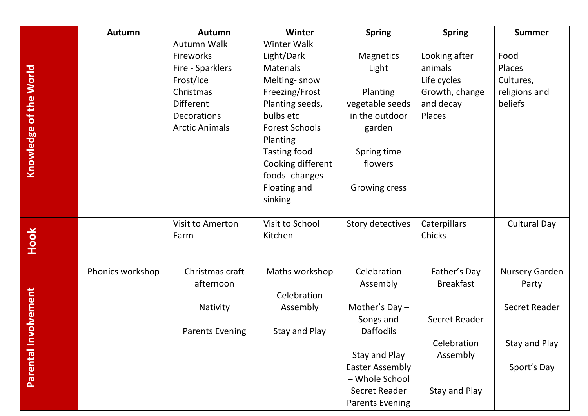|                        | Autumn           | <b>Autumn</b>          | <b>Winter</b>         | <b>Spring</b>          | <b>Spring</b>        | <b>Summer</b>         |
|------------------------|------------------|------------------------|-----------------------|------------------------|----------------------|-----------------------|
|                        |                  | <b>Autumn Walk</b>     | <b>Winter Walk</b>    |                        |                      |                       |
|                        |                  | Fireworks              | Light/Dark            | <b>Magnetics</b>       | Looking after        | Food                  |
|                        |                  | Fire - Sparklers       | <b>Materials</b>      | Light                  | animals              | Places                |
|                        |                  | Frost/Ice              | Melting-snow          |                        | Life cycles          | Cultures,             |
|                        |                  | Christmas              | Freezing/Frost        | Planting               | Growth, change       | religions and         |
| Knowledge of the World |                  | Different              | Planting seeds,       | vegetable seeds        | and decay            | beliefs               |
|                        |                  | Decorations            | bulbs etc             | in the outdoor         | Places               |                       |
|                        |                  | <b>Arctic Animals</b>  | <b>Forest Schools</b> | garden                 |                      |                       |
|                        |                  |                        | Planting              |                        |                      |                       |
|                        |                  |                        | <b>Tasting food</b>   | Spring time            |                      |                       |
|                        |                  |                        | Cooking different     | flowers                |                      |                       |
|                        |                  |                        | foods-changes         |                        |                      |                       |
|                        |                  |                        | Floating and          | Growing cress          |                      |                       |
|                        |                  |                        | sinking               |                        |                      |                       |
|                        |                  | Visit to Amerton       | Visit to School       | Story detectives       | Caterpillars         | <b>Cultural Day</b>   |
| Hook                   |                  | Farm                   | Kitchen               |                        | Chicks               |                       |
|                        |                  |                        |                       |                        |                      |                       |
|                        | Phonics workshop | Christmas craft        | Maths workshop        | Celebration            | Father's Day         | <b>Nursery Garden</b> |
|                        |                  | afternoon              |                       | Assembly               | <b>Breakfast</b>     | Party                 |
|                        |                  |                        | Celebration           |                        |                      |                       |
| volvement              |                  | Nativity               | Assembly              | Mother's $Day -$       |                      | Secret Reader         |
|                        |                  |                        |                       | Songs and              | <b>Secret Reader</b> |                       |
|                        |                  | <b>Parents Evening</b> | Stay and Play         | <b>Daffodils</b>       |                      |                       |
|                        |                  |                        |                       |                        | Celebration          | Stay and Play         |
| <b>Parental Inv</b>    |                  |                        |                       | Stay and Play          | Assembly             |                       |
|                        |                  |                        |                       | <b>Easter Assembly</b> |                      | Sport's Day           |
|                        |                  |                        |                       | - Whole School         |                      |                       |
|                        |                  |                        |                       | Secret Reader          | Stay and Play        |                       |
|                        |                  |                        |                       | <b>Parents Evening</b> |                      |                       |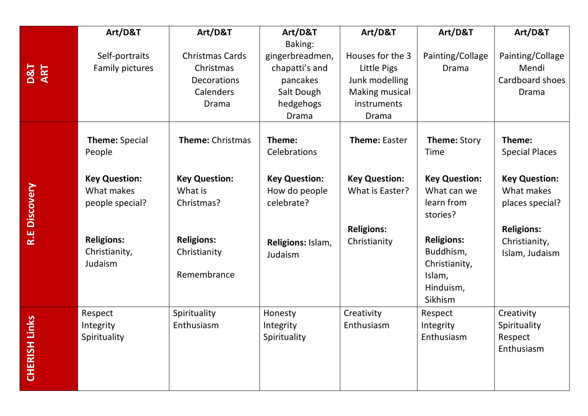|                         | Art/D&T                                               | Art/D&T                                                                  | Art/D&T                                                                                      | Art/D&T                                                                                     | Art/D&T                                                                           | Art/D&T                                               |
|-------------------------|-------------------------------------------------------|--------------------------------------------------------------------------|----------------------------------------------------------------------------------------------|---------------------------------------------------------------------------------------------|-----------------------------------------------------------------------------------|-------------------------------------------------------|
| D&T<br>ART              | Self-portraits<br>Family pictures                     | <b>Christmas Cards</b><br>Christmas<br>Decorations<br>Calenders<br>Drama | Baking:<br>gingerbreadmen,<br>chapatti's and<br>pancakes<br>Salt Dough<br>hedgehogs<br>Drama | Houses for the 3<br>Little Pigs<br>Junk modelling<br>Making musical<br>instruments<br>Drama | Painting/Collage<br>Drama                                                         | Painting/Collage<br>Mendi<br>Cardboard shoes<br>Drama |
|                         | <b>Theme: Special</b><br>People                       | <b>Theme: Christmas</b>                                                  | Theme:<br>Celebrations                                                                       | <b>Theme: Easter</b>                                                                        | <b>Theme: Story</b><br>Time                                                       | Theme:<br><b>Special Places</b>                       |
| <b>Discovery</b>        | <b>Key Question:</b><br>What makes<br>people special? | <b>Key Question:</b><br>What is<br>Christmas?                            | <b>Key Question:</b><br>How do people<br>celebrate?                                          | <b>Key Question:</b><br>What is Easter?                                                     | <b>Key Question:</b><br>What can we<br>learn from<br>stories?                     | <b>Key Question:</b><br>What makes<br>places special? |
| R.E                     | <b>Religions:</b><br>Christianity,<br>Judaism         | <b>Religions:</b><br>Christianity<br>Remembrance                         | Religions: Islam,<br>Judaism                                                                 | <b>Religions:</b><br>Christianity                                                           | <b>Religions:</b><br>Buddhism,<br>Christianity,<br>Islam,<br>Hinduism,<br>Sikhism | <b>Religions:</b><br>Christianity,<br>Islam, Judaism  |
| Links<br><b>CHERISH</b> | Respect<br>Integrity<br>Spirituality                  | Spirituality<br>Enthusiasm                                               | Honesty<br>Integrity<br>Spirituality                                                         | Creativity<br>Enthusiasm                                                                    | Respect<br>Integrity<br>Enthusiasm                                                | Creativity<br>Spirituality<br>Respect<br>Enthusiasm   |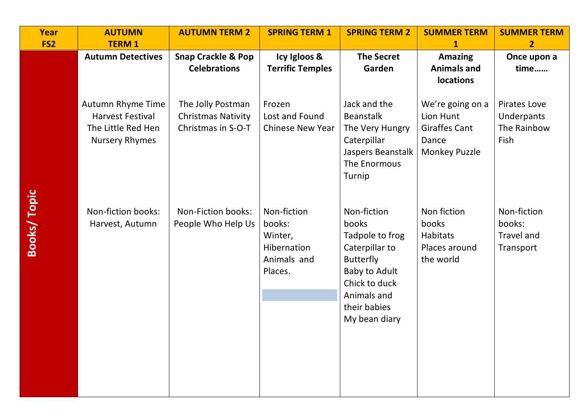| Year               | <b>AUTUMN</b>                                                                               | <b>AUTUMN TERM 2</b>                                                 | <b>SPRING TERM 1</b>                                                      | <b>SPRING TERM 2</b>                                                                                                                                            | <b>SUMMER TERM</b>                                                                     | <b>SUMMER TERM</b>                                       |
|--------------------|---------------------------------------------------------------------------------------------|----------------------------------------------------------------------|---------------------------------------------------------------------------|-----------------------------------------------------------------------------------------------------------------------------------------------------------------|----------------------------------------------------------------------------------------|----------------------------------------------------------|
| FS <sub>2</sub>    | <b>TERM1</b>                                                                                |                                                                      |                                                                           |                                                                                                                                                                 | 1                                                                                      | $\overline{2}$                                           |
|                    | <b>Autumn Detectives</b>                                                                    | <b>Snap Crackle &amp; Pop</b><br><b>Celebrations</b>                 | Icy Igloos &<br><b>Terrific Temples</b>                                   | <b>The Secret</b><br>Garden                                                                                                                                     | <b>Amazing</b><br><b>Animals and</b><br>locations                                      | Once upon a<br>time                                      |
|                    | Autumn Rhyme Time<br><b>Harvest Festival</b><br>The Little Red Hen<br><b>Nursery Rhymes</b> | The Jolly Postman<br><b>Christmas Nativity</b><br>Christmas in S-O-T | Frozen<br>Lost and Found<br><b>Chinese New Year</b>                       | Jack and the<br><b>Beanstalk</b><br>The Very Hungry<br>Caterpillar<br>Jaspers Beanstalk<br>The Enormous<br>Turnip                                               | We're going on a<br>Lion Hunt<br><b>Giraffes Cant</b><br>Dance<br><b>Monkey Puzzle</b> | <b>Pirates Love</b><br>Underpants<br>The Rainbow<br>Fish |
| <b>Books/Topic</b> | Non-fiction books:<br>Harvest, Autumn                                                       | Non-Fiction books:<br>People Who Help Us                             | Non-fiction<br>books:<br>Winter,<br>Hibernation<br>Animals and<br>Places. | Non-fiction<br>books<br>Tadpole to frog<br>Caterpillar to<br><b>Butterfly</b><br>Baby to Adult<br>Chick to duck<br>Animals and<br>their babies<br>My bean diary | Non fiction<br>books<br>Habitats<br>Places around<br>the world                         | Non-fiction<br>books:<br><b>Travel and</b><br>Transport  |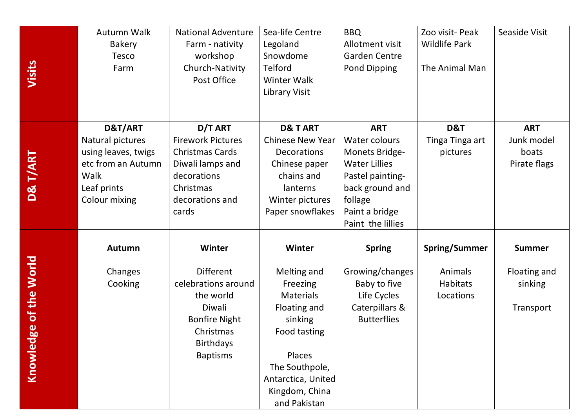| Visits                        | Autumn Walk<br><b>Bakery</b><br><b>Tesco</b><br>Farm                                                             | <b>National Adventure</b><br>Farm - nativity<br>workshop<br>Church-Nativity<br>Post Office                                                           | Sea-life Centre<br>Legoland<br>Snowdome<br>Telford<br><b>Winter Walk</b><br>Library Visit                                                                                                   | <b>BBQ</b><br>Allotment visit<br><b>Garden Centre</b><br>Pond Dipping                                                                                          | Zoo visit- Peak<br><b>Wildlife Park</b><br>The Animal Man       | Seaside Visit                                         |
|-------------------------------|------------------------------------------------------------------------------------------------------------------|------------------------------------------------------------------------------------------------------------------------------------------------------|---------------------------------------------------------------------------------------------------------------------------------------------------------------------------------------------|----------------------------------------------------------------------------------------------------------------------------------------------------------------|-----------------------------------------------------------------|-------------------------------------------------------|
| D& T/ART                      | D&T/ART<br>Natural pictures<br>using leaves, twigs<br>etc from an Autumn<br>Walk<br>Leaf prints<br>Colour mixing | D/T ART<br><b>Firework Pictures</b><br><b>Christmas Cards</b><br>Diwali lamps and<br>decorations<br>Christmas<br>decorations and<br>cards            | <b>D&amp; TART</b><br><b>Chinese New Year</b><br><b>Decorations</b><br>Chinese paper<br>chains and<br>lanterns<br>Winter pictures<br>Paper snowflakes                                       | <b>ART</b><br>Water colours<br>Monets Bridge-<br><b>Water Lillies</b><br>Pastel painting-<br>back ground and<br>follage<br>Paint a bridge<br>Paint the lillies | D&T<br>Tinga Tinga art<br>pictures                              | <b>ART</b><br>Junk model<br>boats<br>Pirate flags     |
| of the World<br>88<br>Knowled | Autumn<br>Changes<br>Cooking                                                                                     | Winter<br><b>Different</b><br>celebrations around<br>the world<br>Diwali<br><b>Bonfire Night</b><br>Christmas<br><b>Birthdays</b><br><b>Baptisms</b> | <b>Winter</b><br>Melting and<br>Freezing<br><b>Materials</b><br>Floating and<br>sinking<br>Food tasting<br>Places<br>The Southpole,<br>Antarctica, United<br>Kingdom, China<br>and Pakistan | <b>Spring</b><br>Growing/changes<br>Baby to five<br>Life Cycles<br>Caterpillars &<br><b>Butterflies</b>                                                        | <b>Spring/Summer</b><br>Animals<br><b>Habitats</b><br>Locations | <b>Summer</b><br>Floating and<br>sinking<br>Transport |